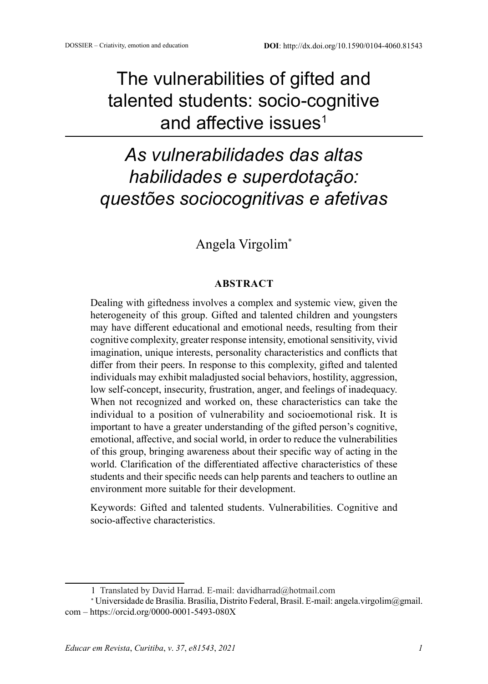# The vulnerabilities of gifted and talented students: socio-cognitive and affective issues<sup>1</sup>

# *As vulnerabilidades das altas habilidades e superdotação: questões sociocognitivas e afetivas*

# Angela Virgolim\*

#### **ABSTRACT**

Dealing with giftedness involves a complex and systemic view, given the heterogeneity of this group. Gifted and talented children and youngsters may have different educational and emotional needs, resulting from their cognitive complexity, greater response intensity, emotional sensitivity, vivid imagination, unique interests, personality characteristics and conflicts that differ from their peers. In response to this complexity, gifted and talented individuals may exhibit maladjusted social behaviors, hostility, aggression, low self-concept, insecurity, frustration, anger, and feelings of inadequacy. When not recognized and worked on, these characteristics can take the individual to a position of vulnerability and socioemotional risk. It is important to have a greater understanding of the gifted person's cognitive, emotional, affective, and social world, in order to reduce the vulnerabilities of this group, bringing awareness about their specific way of acting in the world. Clarification of the differentiated affective characteristics of these students and their specific needs can help parents and teachers to outline an environment more suitable for their development.

Keywords: Gifted and talented students. Vulnerabilities. Cognitive and socio-affective characteristics.

<sup>1</sup> Translated by David Harrad. E-mail: davidharrad@hotmail.com

<sup>∗</sup> Universidade de Brasília. Brasília, Distrito Federal, Brasil. E-mail: angela.virgolim@gmail. com – https://orcid.org/0000-0001-5493-080X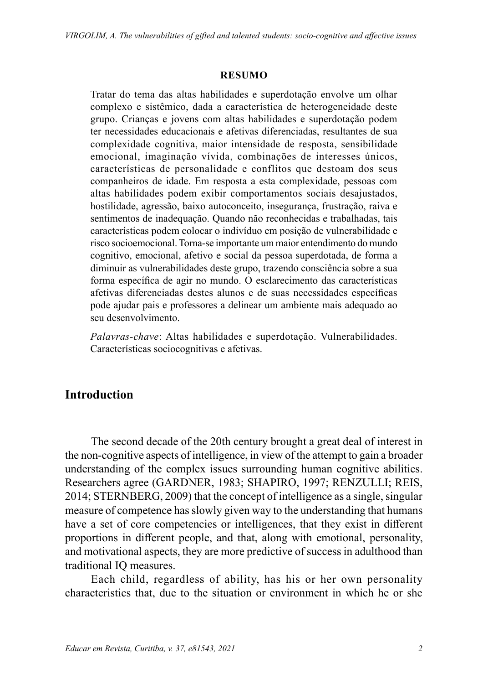#### **RESUMO**

Tratar do tema das altas habilidades e superdotação envolve um olhar complexo e sistêmico, dada a característica de heterogeneidade deste grupo. Crianças e jovens com altas habilidades e superdotação podem ter necessidades educacionais e afetivas diferenciadas, resultantes de sua complexidade cognitiva, maior intensidade de resposta, sensibilidade emocional, imaginação vívida, combinações de interesses únicos, características de personalidade e conflitos que destoam dos seus companheiros de idade. Em resposta a esta complexidade, pessoas com altas habilidades podem exibir comportamentos sociais desajustados, hostilidade, agressão, baixo autoconceito, insegurança, frustração, raiva e sentimentos de inadequação. Quando não reconhecidas e trabalhadas, tais características podem colocar o indivíduo em posição de vulnerabilidade e risco socioemocional. Torna-se importante um maior entendimento do mundo cognitivo, emocional, afetivo e social da pessoa superdotada, de forma a diminuir as vulnerabilidades deste grupo, trazendo consciência sobre a sua forma específica de agir no mundo. O esclarecimento das características afetivas diferenciadas destes alunos e de suas necessidades específicas pode ajudar pais e professores a delinear um ambiente mais adequado ao seu desenvolvimento.

*Palavras-chave*: Altas habilidades e superdotação. Vulnerabilidades. Características sociocognitivas e afetivas.

## **Introduction**

The second decade of the 20th century brought a great deal of interest in the non-cognitive aspects of intelligence, in view of the attempt to gain a broader understanding of the complex issues surrounding human cognitive abilities. Researchers agree (GARDNER, 1983; SHAPIRO, 1997; RENZULLI; REIS, 2014; STERNBERG, 2009) that the concept of intelligence as a single, singular measure of competence has slowly given way to the understanding that humans have a set of core competencies or intelligences, that they exist in different proportions in different people, and that, along with emotional, personality, and motivational aspects, they are more predictive of success in adulthood than traditional IQ measures.

Each child, regardless of ability, has his or her own personality characteristics that, due to the situation or environment in which he or she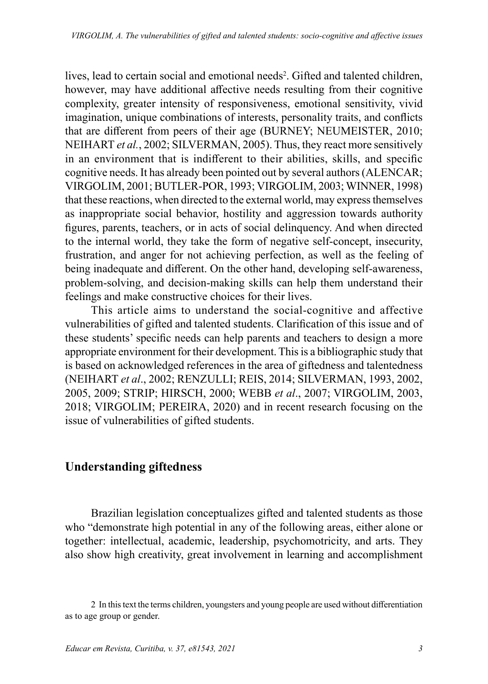lives, lead to certain social and emotional needs<sup>2</sup>. Gifted and talented children, however, may have additional affective needs resulting from their cognitive complexity, greater intensity of responsiveness, emotional sensitivity, vivid imagination, unique combinations of interests, personality traits, and conflicts that are different from peers of their age (BURNEY; NEUMEISTER, 2010; NEIHART *et al.*, 2002; SILVERMAN, 2005). Thus, they react more sensitively in an environment that is indifferent to their abilities, skills, and specific cognitive needs. It has already been pointed out by several authors (ALENCAR; VIRGOLIM, 2001; BUTLER-POR, 1993; VIRGOLIM, 2003; WINNER, 1998) that these reactions, when directed to the external world, may express themselves as inappropriate social behavior, hostility and aggression towards authority figures, parents, teachers, or in acts of social delinquency. And when directed to the internal world, they take the form of negative self-concept, insecurity, frustration, and anger for not achieving perfection, as well as the feeling of being inadequate and different. On the other hand, developing self-awareness, problem-solving, and decision-making skills can help them understand their feelings and make constructive choices for their lives.

This article aims to understand the social-cognitive and affective vulnerabilities of gifted and talented students. Clarification of this issue and of these students' specific needs can help parents and teachers to design a more appropriate environment for their development. This is a bibliographic study that is based on acknowledged references in the area of giftedness and talentedness (NEIHART *et al*., 2002; RENZULLI; REIS, 2014; SILVERMAN, 1993, 2002, 2005, 2009; STRIP; HIRSCH, 2000; WEBB *et al*., 2007; VIRGOLIM, 2003, 2018; VIRGOLIM; PEREIRA, 2020) and in recent research focusing on the issue of vulnerabilities of gifted students.

#### **Understanding giftedness**

Brazilian legislation conceptualizes gifted and talented students as those who "demonstrate high potential in any of the following areas, either alone or together: intellectual, academic, leadership, psychomotricity, and arts. They also show high creativity, great involvement in learning and accomplishment

<sup>2</sup> In this text the terms children, youngsters and young people are used without differentiation as to age group or gender.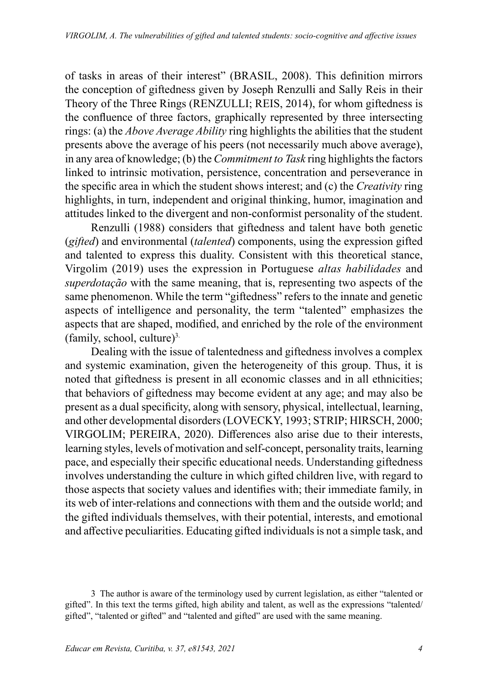of tasks in areas of their interest" (BRASIL, 2008). This definition mirrors the conception of giftedness given by Joseph Renzulli and Sally Reis in their Theory of the Three Rings (RENZULLI; REIS, 2014), for whom giftedness is the confluence of three factors, graphically represented by three intersecting rings: (a) the *Above Average Ability* ring highlights the abilities that the student presents above the average of his peers (not necessarily much above average), in any area of knowledge; (b) the *Commitment to Task* ring highlights the factors linked to intrinsic motivation, persistence, concentration and perseverance in the specific area in which the student shows interest; and (c) the *Creativity* ring highlights, in turn, independent and original thinking, humor, imagination and attitudes linked to the divergent and non-conformist personality of the student.

Renzulli (1988) considers that giftedness and talent have both genetic (*gifted*) and environmental (*talented*) components, using the expression gifted and talented to express this duality. Consistent with this theoretical stance, Virgolim (2019) uses the expression in Portuguese *altas habilidades* and *superdotação* with the same meaning, that is, representing two aspects of the same phenomenon. While the term "giftedness" refers to the innate and genetic aspects of intelligence and personality, the term "talented" emphasizes the aspects that are shaped, modified, and enriched by the role of the environment  $(family, school, culture)^3$ .

Dealing with the issue of talentedness and giftedness involves a complex and systemic examination, given the heterogeneity of this group. Thus, it is noted that giftedness is present in all economic classes and in all ethnicities; that behaviors of giftedness may become evident at any age; and may also be present as a dual specificity, along with sensory, physical, intellectual, learning, and other developmental disorders (LOVECKY, 1993; STRIP; HIRSCH, 2000; VIRGOLIM; PEREIRA, 2020). Differences also arise due to their interests, learning styles, levels of motivation and self-concept, personality traits, learning pace, and especially their specific educational needs. Understanding giftedness involves understanding the culture in which gifted children live, with regard to those aspects that society values and identifies with; their immediate family, in its web of inter-relations and connections with them and the outside world; and the gifted individuals themselves, with their potential, interests, and emotional and affective peculiarities. Educating gifted individuals is not a simple task, and

<sup>3</sup> The author is aware of the terminology used by current legislation, as either "talented or gifted". In this text the terms gifted, high ability and talent, as well as the expressions "talented/ gifted", "talented or gifted" and "talented and gifted" are used with the same meaning.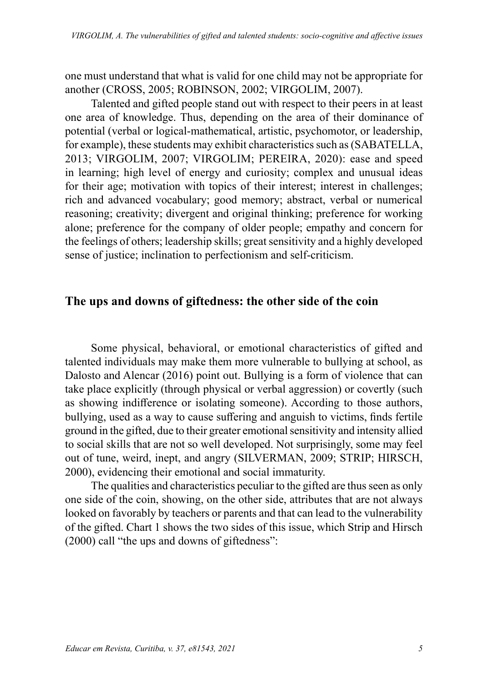one must understand that what is valid for one child may not be appropriate for another (CROSS, 2005; ROBINSON, 2002; VIRGOLIM, 2007).

Talented and gifted people stand out with respect to their peers in at least one area of knowledge. Thus, depending on the area of their dominance of potential (verbal or logical-mathematical, artistic, psychomotor, or leadership, for example), these students may exhibit characteristics such as (SABATELLA, 2013; VIRGOLIM, 2007; VIRGOLIM; PEREIRA, 2020): ease and speed in learning; high level of energy and curiosity; complex and unusual ideas for their age; motivation with topics of their interest; interest in challenges; rich and advanced vocabulary; good memory; abstract, verbal or numerical reasoning; creativity; divergent and original thinking; preference for working alone; preference for the company of older people; empathy and concern for the feelings of others; leadership skills; great sensitivity and a highly developed sense of justice; inclination to perfectionism and self-criticism.

#### **The ups and downs of giftedness: the other side of the coin**

Some physical, behavioral, or emotional characteristics of gifted and talented individuals may make them more vulnerable to bullying at school, as Dalosto and Alencar (2016) point out. Bullying is a form of violence that can take place explicitly (through physical or verbal aggression) or covertly (such as showing indifference or isolating someone). According to those authors, bullying, used as a way to cause suffering and anguish to victims, finds fertile ground in the gifted, due to their greater emotional sensitivity and intensity allied to social skills that are not so well developed. Not surprisingly, some may feel out of tune, weird, inept, and angry (SILVERMAN, 2009; STRIP; HIRSCH, 2000), evidencing their emotional and social immaturity.

The qualities and characteristics peculiar to the gifted are thus seen as only one side of the coin, showing, on the other side, attributes that are not always looked on favorably by teachers or parents and that can lead to the vulnerability of the gifted. Chart 1 shows the two sides of this issue, which Strip and Hirsch (2000) call "the ups and downs of giftedness":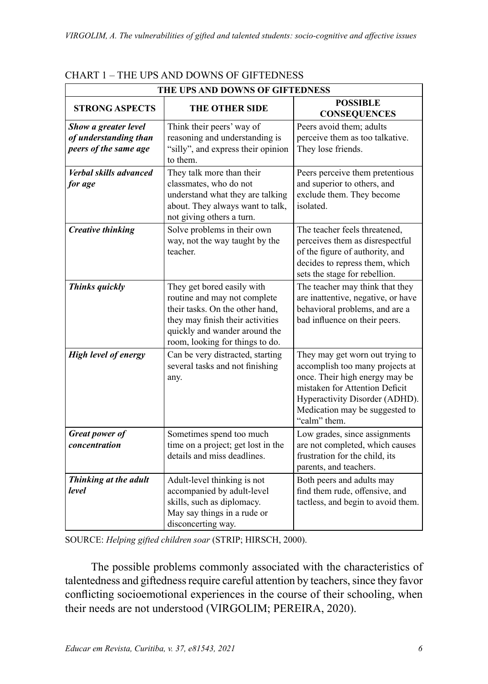| THE UPS AND DOWNS OF GIFTEDNESS                                        |                                                                                                                                                                                                       |                                                                                                                                                                                                                            |  |  |  |  |
|------------------------------------------------------------------------|-------------------------------------------------------------------------------------------------------------------------------------------------------------------------------------------------------|----------------------------------------------------------------------------------------------------------------------------------------------------------------------------------------------------------------------------|--|--|--|--|
| <b>STRONG ASPECTS</b>                                                  | THE OTHER SIDE                                                                                                                                                                                        | <b>POSSIBLE</b><br><b>CONSEQUENCES</b>                                                                                                                                                                                     |  |  |  |  |
| Show a greater level<br>of understanding than<br>peers of the same age | Think their peers' way of<br>reasoning and understanding is<br>"silly", and express their opinion<br>to them.                                                                                         | Peers avoid them; adults<br>perceive them as too talkative.<br>They lose friends.                                                                                                                                          |  |  |  |  |
| <b>Verbal skills advanced</b><br>for age                               | They talk more than their<br>classmates, who do not<br>understand what they are talking<br>about. They always want to talk,<br>not giving others a turn.                                              | Peers perceive them pretentious<br>and superior to others, and<br>exclude them. They become<br>isolated.                                                                                                                   |  |  |  |  |
| <b>Creative thinking</b>                                               | Solve problems in their own<br>way, not the way taught by the<br>teacher.                                                                                                                             | The teacher feels threatened,<br>perceives them as disrespectful<br>of the figure of authority, and<br>decides to repress them, which<br>sets the stage for rebellion.                                                     |  |  |  |  |
| Thinks quickly                                                         | They get bored easily with<br>routine and may not complete<br>their tasks. On the other hand,<br>they may finish their activities<br>quickly and wander around the<br>room, looking for things to do. | The teacher may think that they<br>are inattentive, negative, or have<br>behavioral problems, and are a<br>bad influence on their peers.                                                                                   |  |  |  |  |
| <b>High level of energy</b>                                            | Can be very distracted, starting<br>several tasks and not finishing<br>any.                                                                                                                           | They may get worn out trying to<br>accomplish too many projects at<br>once. Their high energy may be<br>mistaken for Attention Deficit<br>Hyperactivity Disorder (ADHD).<br>Medication may be suggested to<br>"calm" them. |  |  |  |  |
| Great power of<br>concentration                                        | Sometimes spend too much<br>time on a project; get lost in the<br>details and miss deadlines.                                                                                                         | Low grades, since assignments<br>are not completed, which causes<br>frustration for the child, its<br>parents, and teachers.                                                                                               |  |  |  |  |
| Thinking at the adult<br>level                                         | Adult-level thinking is not<br>accompanied by adult-level<br>skills, such as diplomacy.<br>May say things in a rude or<br>disconcerting way.                                                          | Both peers and adults may<br>find them rude, offensive, and<br>tactless, and begin to avoid them.                                                                                                                          |  |  |  |  |

#### CHART 1 – THE UPS AND DOWNS OF GIFTEDNESS

SOURCE: *Helping gifted children soar* (STRIP; HIRSCH, 2000).

The possible problems commonly associated with the characteristics of talentedness and giftedness require careful attention by teachers, since they favor conflicting socioemotional experiences in the course of their schooling, when their needs are not understood (VIRGOLIM; PEREIRA, 2020).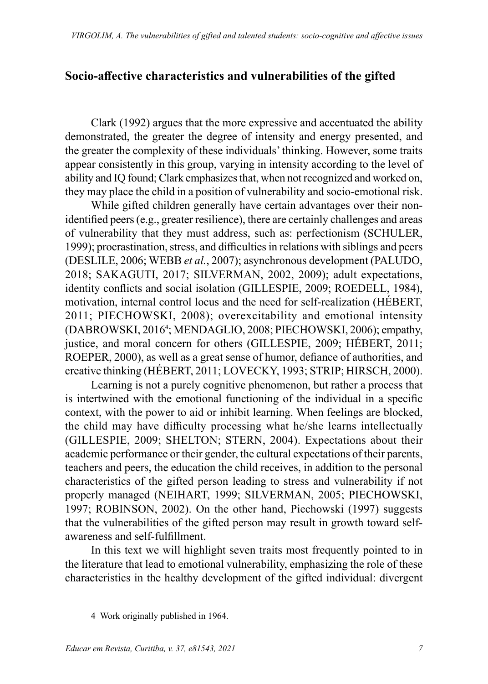## **Socio-affective characteristics and vulnerabilities of the gifted**

Clark (1992) argues that the more expressive and accentuated the ability demonstrated, the greater the degree of intensity and energy presented, and the greater the complexity of these individuals' thinking. However, some traits appear consistently in this group, varying in intensity according to the level of ability and IQ found; Clark emphasizes that, when not recognized and worked on, they may place the child in a position of vulnerability and socio-emotional risk.

While gifted children generally have certain advantages over their nonidentified peers (e.g., greater resilience), there are certainly challenges and areas of vulnerability that they must address, such as: perfectionism (SCHULER, 1999); procrastination, stress, and difficulties in relations with siblings and peers (DESLILE, 2006; WEBB *et al.*, 2007); asynchronous development (PALUDO, 2018; SAKAGUTI, 2017; SILVERMAN, 2002, 2009); adult expectations, identity conflicts and social isolation (GILLESPIE, 2009; ROEDELL, 1984), motivation, internal control locus and the need for self-realization (HÉBERT, 2011; PIECHOWSKI, 2008); overexcitability and emotional intensity (DABROWSKI, 2016<sup>4</sup> ; MENDAGLIO, 2008; PIECHOWSKI, 2006); empathy, justice, and moral concern for others (GILLESPIE, 2009; HÉBERT, 2011; ROEPER, 2000), as well as a great sense of humor, defiance of authorities, and creative thinking (HÉBERT, 2011; LOVECKY, 1993; STRIP; HIRSCH, 2000).

Learning is not a purely cognitive phenomenon, but rather a process that is intertwined with the emotional functioning of the individual in a specific context, with the power to aid or inhibit learning. When feelings are blocked, the child may have difficulty processing what he/she learns intellectually (GILLESPIE, 2009; SHELTON; STERN, 2004). Expectations about their academic performance or their gender, the cultural expectations of their parents, teachers and peers, the education the child receives, in addition to the personal characteristics of the gifted person leading to stress and vulnerability if not properly managed (NEIHART, 1999; SILVERMAN, 2005; PIECHOWSKI, 1997; ROBINSON, 2002). On the other hand, Piechowski (1997) suggests that the vulnerabilities of the gifted person may result in growth toward selfawareness and self-fulfillment.

In this text we will highlight seven traits most frequently pointed to in the literature that lead to emotional vulnerability, emphasizing the role of these characteristics in the healthy development of the gifted individual: divergent

<sup>4</sup> Work originally published in 1964.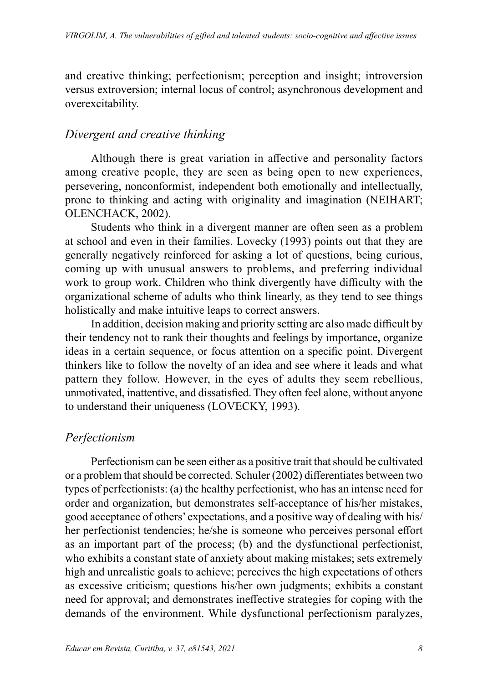and creative thinking; perfectionism; perception and insight; introversion versus extroversion; internal locus of control; asynchronous development and overexcitability.

### *Divergent and creative thinking*

Although there is great variation in affective and personality factors among creative people, they are seen as being open to new experiences, persevering, nonconformist, independent both emotionally and intellectually, prone to thinking and acting with originality and imagination (NEIHART; OLENCHACK, 2002).

Students who think in a divergent manner are often seen as a problem at school and even in their families. Lovecky (1993) points out that they are generally negatively reinforced for asking a lot of questions, being curious, coming up with unusual answers to problems, and preferring individual work to group work. Children who think divergently have difficulty with the organizational scheme of adults who think linearly, as they tend to see things holistically and make intuitive leaps to correct answers.

In addition, decision making and priority setting are also made difficult by their tendency not to rank their thoughts and feelings by importance, organize ideas in a certain sequence, or focus attention on a specific point. Divergent thinkers like to follow the novelty of an idea and see where it leads and what pattern they follow. However, in the eyes of adults they seem rebellious, unmotivated, inattentive, and dissatisfied. They often feel alone, without anyone to understand their uniqueness (LOVECKY, 1993).

## *Perfectionism*

Perfectionism can be seen either as a positive trait that should be cultivated or a problem that should be corrected. Schuler (2002) differentiates between two types of perfectionists: (a) the healthy perfectionist, who has an intense need for order and organization, but demonstrates self-acceptance of his/her mistakes, good acceptance of others' expectations, and a positive way of dealing with his/ her perfectionist tendencies; he/she is someone who perceives personal effort as an important part of the process; (b) and the dysfunctional perfectionist, who exhibits a constant state of anxiety about making mistakes; sets extremely high and unrealistic goals to achieve; perceives the high expectations of others as excessive criticism; questions his/her own judgments; exhibits a constant need for approval; and demonstrates ineffective strategies for coping with the demands of the environment. While dysfunctional perfectionism paralyzes,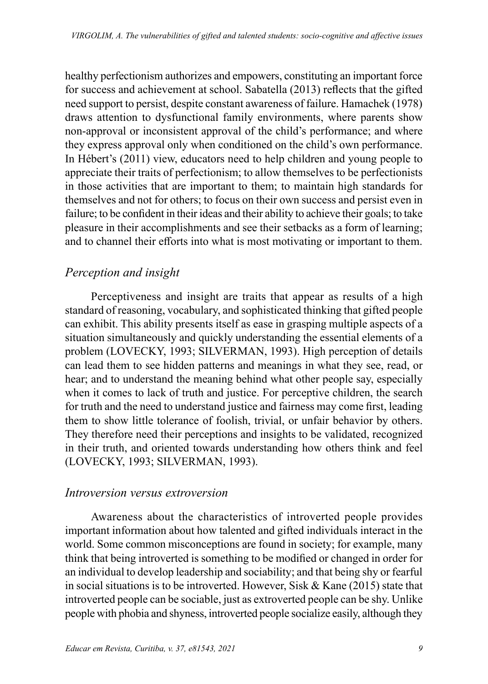healthy perfectionism authorizes and empowers, constituting an important force for success and achievement at school. Sabatella (2013) reflects that the gifted need support to persist, despite constant awareness of failure. Hamachek (1978) draws attention to dysfunctional family environments, where parents show non-approval or inconsistent approval of the child's performance; and where they express approval only when conditioned on the child's own performance. In Hébert's (2011) view, educators need to help children and young people to appreciate their traits of perfectionism; to allow themselves to be perfectionists in those activities that are important to them; to maintain high standards for themselves and not for others; to focus on their own success and persist even in failure; to be confident in their ideas and their ability to achieve their goals; to take pleasure in their accomplishments and see their setbacks as a form of learning; and to channel their efforts into what is most motivating or important to them.

## *Perception and insight*

Perceptiveness and insight are traits that appear as results of a high standard of reasoning, vocabulary, and sophisticated thinking that gifted people can exhibit. This ability presents itself as ease in grasping multiple aspects of a situation simultaneously and quickly understanding the essential elements of a problem (LOVECKY, 1993; SILVERMAN, 1993). High perception of details can lead them to see hidden patterns and meanings in what they see, read, or hear; and to understand the meaning behind what other people say, especially when it comes to lack of truth and justice. For perceptive children, the search for truth and the need to understand justice and fairness may come first, leading them to show little tolerance of foolish, trivial, or unfair behavior by others. They therefore need their perceptions and insights to be validated, recognized in their truth, and oriented towards understanding how others think and feel (LOVECKY, 1993; SILVERMAN, 1993).

#### *Introversion versus extroversion*

Awareness about the characteristics of introverted people provides important information about how talented and gifted individuals interact in the world. Some common misconceptions are found in society; for example, many think that being introverted is something to be modified or changed in order for an individual to develop leadership and sociability; and that being shy or fearful in social situations is to be introverted. However, Sisk & Kane (2015) state that introverted people can be sociable, just as extroverted people can be shy. Unlike people with phobia and shyness, introverted people socialize easily, although they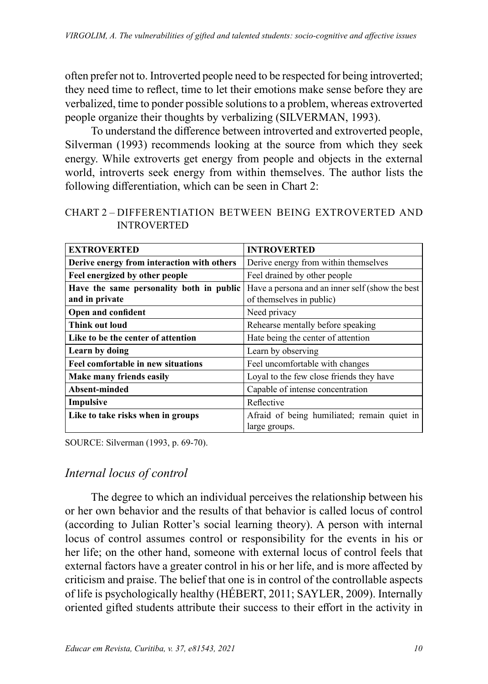often prefer not to. Introverted people need to be respected for being introverted; they need time to reflect, time to let their emotions make sense before they are verbalized, time to ponder possible solutions to a problem, whereas extroverted people organize their thoughts by verbalizing (SILVERMAN, 1993).

To understand the difference between introverted and extroverted people, Silverman (1993) recommends looking at the source from which they seek energy. While extroverts get energy from people and objects in the external world, introverts seek energy from within themselves. The author lists the following differentiation, which can be seen in Chart 2:

| CHART 2 – DIFFERENTIATION BETWEEN BEING EXTROVERTED AND |  |  |
|---------------------------------------------------------|--|--|
| <b>INTROVERTED</b>                                      |  |  |

| <b>EXTROVERTED</b>                         | <b>INTROVERTED</b>                              |  |  |
|--------------------------------------------|-------------------------------------------------|--|--|
| Derive energy from interaction with others | Derive energy from within themselves            |  |  |
| Feel energized by other people             | Feel drained by other people                    |  |  |
| Have the same personality both in public   | Have a persona and an inner self (show the best |  |  |
| and in private                             | of themselves in public)                        |  |  |
| Open and confident                         | Need privacy                                    |  |  |
| <b>Think out loud</b>                      | Rehearse mentally before speaking               |  |  |
| Like to be the center of attention         | Hate being the center of attention              |  |  |
| Learn by doing                             | Learn by observing                              |  |  |
| Feel comfortable in new situations         | Feel uncomfortable with changes                 |  |  |
| Make many friends easily                   | Loyal to the few close friends they have        |  |  |
| Absent-minded                              | Capable of intense concentration                |  |  |
| Impulsive                                  | Reflective                                      |  |  |
| Like to take risks when in groups          | Afraid of being humiliated; remain quiet in     |  |  |
|                                            | large groups.                                   |  |  |

SOURCE: Silverman (1993, p. 69-70).

## *Internal locus of control*

The degree to which an individual perceives the relationship between his or her own behavior and the results of that behavior is called locus of control (according to Julian Rotter's social learning theory). A person with internal locus of control assumes control or responsibility for the events in his or her life; on the other hand, someone with external locus of control feels that external factors have a greater control in his or her life, and is more affected by criticism and praise. The belief that one is in control of the controllable aspects of life is psychologically healthy (HÉBERT, 2011; SAYLER, 2009). Internally oriented gifted students attribute their success to their effort in the activity in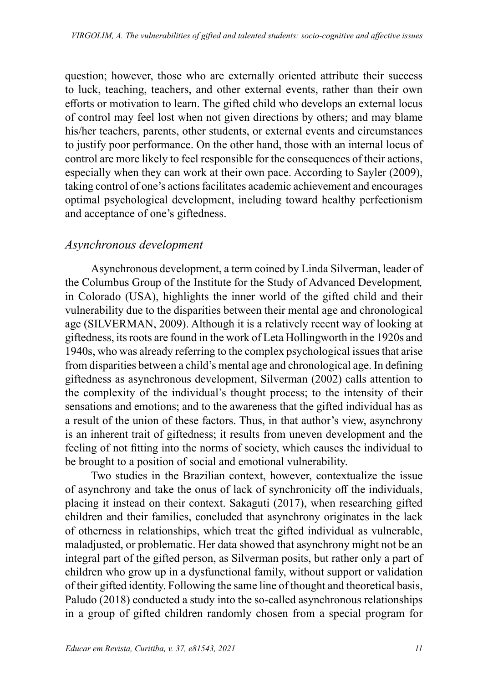question; however, those who are externally oriented attribute their success to luck, teaching, teachers, and other external events, rather than their own efforts or motivation to learn. The gifted child who develops an external locus of control may feel lost when not given directions by others; and may blame his/her teachers, parents, other students, or external events and circumstances to justify poor performance. On the other hand, those with an internal locus of control are more likely to feel responsible for the consequences of their actions, especially when they can work at their own pace. According to Sayler (2009), taking control of one's actions facilitates academic achievement and encourages optimal psychological development, including toward healthy perfectionism and acceptance of one's giftedness.

#### *Asynchronous development*

Asynchronous development, a term coined by Linda Silverman, leader of the Columbus Group of the Institute for the Study of Advanced Development*,* in Colorado (USA), highlights the inner world of the gifted child and their vulnerability due to the disparities between their mental age and chronological age (SILVERMAN, 2009). Although it is a relatively recent way of looking at giftedness, its roots are found in the work of Leta Hollingworth in the 1920s and 1940s, who was already referring to the complex psychological issues that arise from disparities between a child's mental age and chronological age. In defining giftedness as asynchronous development, Silverman (2002) calls attention to the complexity of the individual's thought process; to the intensity of their sensations and emotions; and to the awareness that the gifted individual has as a result of the union of these factors. Thus, in that author's view, asynchrony is an inherent trait of giftedness; it results from uneven development and the feeling of not fitting into the norms of society, which causes the individual to be brought to a position of social and emotional vulnerability.

Two studies in the Brazilian context, however, contextualize the issue of asynchrony and take the onus of lack of synchronicity off the individuals, placing it instead on their context. Sakaguti (2017), when researching gifted children and their families, concluded that asynchrony originates in the lack of otherness in relationships, which treat the gifted individual as vulnerable, maladjusted, or problematic. Her data showed that asynchrony might not be an integral part of the gifted person, as Silverman posits, but rather only a part of children who grow up in a dysfunctional family, without support or validation of their gifted identity. Following the same line of thought and theoretical basis, Paludo (2018) conducted a study into the so-called asynchronous relationships in a group of gifted children randomly chosen from a special program for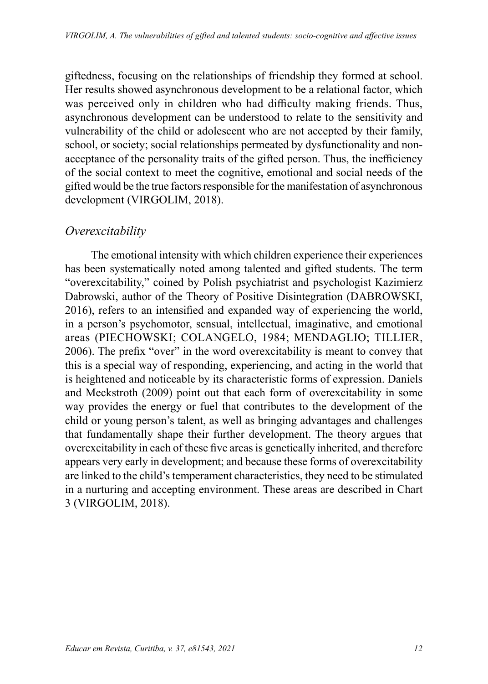giftedness, focusing on the relationships of friendship they formed at school. Her results showed asynchronous development to be a relational factor, which was perceived only in children who had difficulty making friends. Thus, asynchronous development can be understood to relate to the sensitivity and vulnerability of the child or adolescent who are not accepted by their family, school, or society; social relationships permeated by dysfunctionality and nonacceptance of the personality traits of the gifted person. Thus, the inefficiency of the social context to meet the cognitive, emotional and social needs of the gifted would be the true factors responsible for the manifestation of asynchronous development (VIRGOLIM, 2018).

## *Overexcitability*

The emotional intensity with which children experience their experiences has been systematically noted among talented and gifted students. The term "overexcitability," coined by Polish psychiatrist and psychologist Kazimierz Dabrowski, author of the Theory of Positive Disintegration (DABROWSKI, 2016), refers to an intensified and expanded way of experiencing the world, in a person's psychomotor, sensual, intellectual, imaginative, and emotional areas (PIECHOWSKI; COLANGELO, 1984; MENDAGLIO; TILLIER, 2006). The prefix "over" in the word overexcitability is meant to convey that this is a special way of responding, experiencing, and acting in the world that is heightened and noticeable by its characteristic forms of expression. Daniels and Meckstroth (2009) point out that each form of overexcitability in some way provides the energy or fuel that contributes to the development of the child or young person's talent, as well as bringing advantages and challenges that fundamentally shape their further development. The theory argues that overexcitability in each of these five areas is genetically inherited, and therefore appears very early in development; and because these forms of overexcitability are linked to the child's temperament characteristics, they need to be stimulated in a nurturing and accepting environment. These areas are described in Chart 3 (VIRGOLIM, 2018).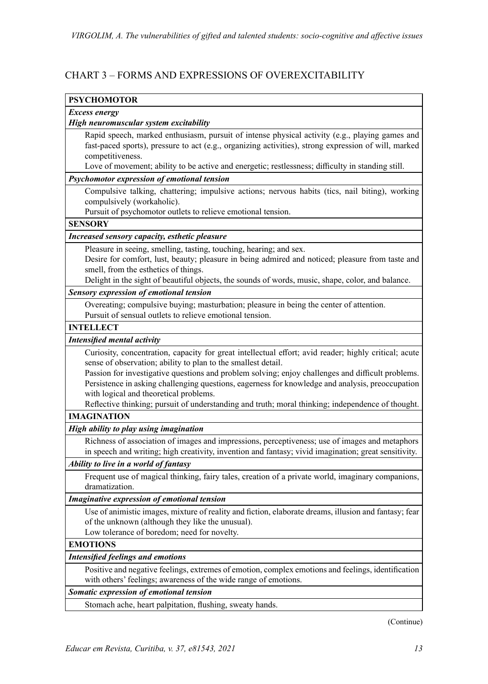#### CHART 3 – FORMS AND EXPRESSIONS OF OVEREXCITABILITY

| <b>PSYCHOMOTOR</b>                                                                                    |
|-------------------------------------------------------------------------------------------------------|
| <b>Excess energy</b>                                                                                  |
| High neuromuscular system excitability                                                                |
| Rapid speech, marked enthusiasm, pursuit of intense physical activity (e.g., playing games and        |
| fast-paced sports), pressure to act (e.g., organizing activities), strong expression of will, marked  |
| competitiveness.                                                                                      |
| Love of movement; ability to be active and energetic; restlessness; difficulty in standing still.     |
| Psychomotor expression of emotional tension                                                           |
| Compulsive talking, chattering; impulsive actions; nervous habits (tics, nail biting), working        |
| compulsively (workaholic).                                                                            |
| Pursuit of psychomotor outlets to relieve emotional tension.                                          |
| <b>SENSORY</b>                                                                                        |
| Increased sensory capacity, esthetic pleasure                                                         |
| Pleasure in seeing, smelling, tasting, touching, hearing; and sex.                                    |
| Desire for comfort, lust, beauty; pleasure in being admired and noticed; pleasure from taste and      |
| smell, from the esthetics of things.                                                                  |
| Delight in the sight of beautiful objects, the sounds of words, music, shape, color, and balance.     |
| Sensory expression of emotional tension                                                               |
| Overeating; compulsive buying; masturbation; pleasure in being the center of attention.               |
| Pursuit of sensual outlets to relieve emotional tension.                                              |
| <b>INTELLECT</b>                                                                                      |
| Intensified mental activity                                                                           |
| Curiosity, concentration, capacity for great intellectual effort; avid reader; highly critical; acute |
| sense of observation; ability to plan to the smallest detail.                                         |
| Passion for investigative questions and problem solving; enjoy challenges and difficult problems.     |
| Persistence in asking challenging questions, eagerness for knowledge and analysis, preoccupation      |
| with logical and theoretical problems.                                                                |
| Reflective thinking; pursuit of understanding and truth; moral thinking; independence of thought.     |
| <b>IMAGINATION</b>                                                                                    |
| High ability to play using imagination                                                                |
| Richness of association of images and impressions, perceptiveness; use of images and metaphors        |
| in speech and writing; high creativity, invention and fantasy; vivid imagination; great sensitivity.  |
| Ability to live in a world of fantasy                                                                 |
| Frequent use of magical thinking, fairy tales, creation of a private world, imaginary companions,     |
| dramatization.                                                                                        |
| Imaginative expression of emotional tension                                                           |
| Use of animistic images, mixture of reality and fiction, elaborate dreams, illusion and fantasy; fear |
| of the unknown (although they like the unusual).                                                      |
| Low tolerance of boredom; need for novelty.                                                           |
| <b>EMOTIONS</b>                                                                                       |
| <b>Intensified feelings and emotions</b>                                                              |
| Positive and negative feelings, extremes of emotion, complex emotions and feelings, identification    |
| with others' feelings; awareness of the wide range of emotions.                                       |
| Somatic expression of emotional tension                                                               |
| Stomach ache, heart palpitation, flushing, sweaty hands.                                              |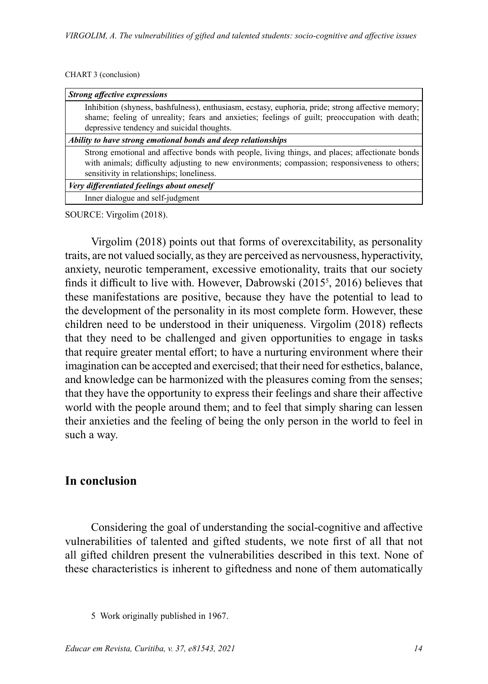#### CHART 3 (conclusion)

| <b>Strong affective expressions</b>                                                                                                                                                                                                           |
|-----------------------------------------------------------------------------------------------------------------------------------------------------------------------------------------------------------------------------------------------|
| Inhibition (shyness, bashfulness), enthusiasm, ecstasy, euphoria, pride; strong affective memory;<br>shame; feeling of unreality; fears and anxieties; feelings of guilt; preoccupation with death;                                           |
| depressive tendency and suicidal thoughts.                                                                                                                                                                                                    |
| Ability to have strong emotional bonds and deep relationships                                                                                                                                                                                 |
| Strong emotional and affective bonds with people, living things, and places; affectionate bonds<br>with animals; difficulty adjusting to new environments; compassion; responsiveness to others;<br>sensitivity in relationships; loneliness. |
| Very differentiated feelings about oneself                                                                                                                                                                                                    |
| Inner dialogue and self-judgment                                                                                                                                                                                                              |

SOURCE: Virgolim (2018).

Virgolim (2018) points out that forms of overexcitability, as personality traits, are not valued socially, as they are perceived as nervousness, hyperactivity, anxiety, neurotic temperament, excessive emotionality, traits that our society finds it difficult to live with. However, Dabrowski (2015<sup>5</sup> , 2016) believes that these manifestations are positive, because they have the potential to lead to the development of the personality in its most complete form. However, these children need to be understood in their uniqueness. Virgolim (2018) reflects that they need to be challenged and given opportunities to engage in tasks that require greater mental effort; to have a nurturing environment where their imagination can be accepted and exercised; that their need for esthetics, balance, and knowledge can be harmonized with the pleasures coming from the senses; that they have the opportunity to express their feelings and share their affective world with the people around them; and to feel that simply sharing can lessen their anxieties and the feeling of being the only person in the world to feel in such a way.

### **In conclusion**

Considering the goal of understanding the social-cognitive and affective vulnerabilities of talented and gifted students, we note first of all that not all gifted children present the vulnerabilities described in this text. None of these characteristics is inherent to giftedness and none of them automatically

<sup>5</sup> Work originally published in 1967.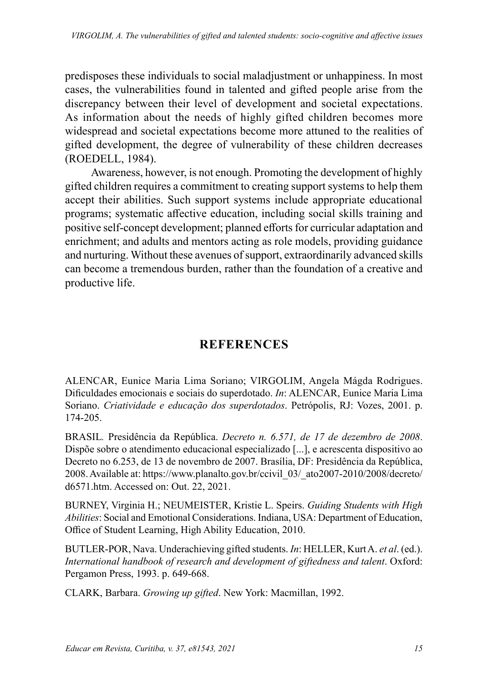predisposes these individuals to social maladjustment or unhappiness. In most cases, the vulnerabilities found in talented and gifted people arise from the discrepancy between their level of development and societal expectations. As information about the needs of highly gifted children becomes more widespread and societal expectations become more attuned to the realities of gifted development, the degree of vulnerability of these children decreases (ROEDELL, 1984).

Awareness, however, is not enough. Promoting the development of highly gifted children requires a commitment to creating support systems to help them accept their abilities. Such support systems include appropriate educational programs; systematic affective education, including social skills training and positive self-concept development; planned efforts for curricular adaptation and enrichment; and adults and mentors acting as role models, providing guidance and nurturing. Without these avenues of support, extraordinarily advanced skills can become a tremendous burden, rather than the foundation of a creative and productive life.

# **REFERENCES**

ALENCAR, Eunice Maria Lima Soriano; VIRGOLIM, Angela Mágda Rodrigues. Dificuldades emocionais e sociais do superdotado. *In*: ALENCAR, Eunice Maria Lima Soriano. *Criatividade e educação dos superdotados*. Petrópolis, RJ: Vozes, 2001. p. 174-205.

BRASIL*.* Presidência da República. *Decreto n. 6.571, de 17 de dezembro de 2008*. Dispõe sobre o atendimento educacional especializado [...], e acrescenta dispositivo ao Decreto no 6.253, de 13 de novembro de 2007. Brasília, DF: Presidência da República, 2008. Available at: https://www.planalto.gov.br/ccivil\_03/\_ato2007-2010/2008/decreto/ d6571.htm. Accessed on: Out. 22, 2021.

BURNEY, Virginia H.; NEUMEISTER, Kristie L. Speirs. *Guiding Students with High Abilities*: Social and Emotional Considerations. Indiana, USA: Department of Education, Office of Student Learning, High Ability Education, 2010.

BUTLER-POR, Nava. Underachieving gifted students. *In*: HELLER, Kurt A. *et al*. (ed.). *International handbook of research and development of giftedness and talent*. Oxford: Pergamon Press, 1993. p. 649-668.

CLARK, Barbara. *Growing up gifted*. New York: Macmillan, 1992.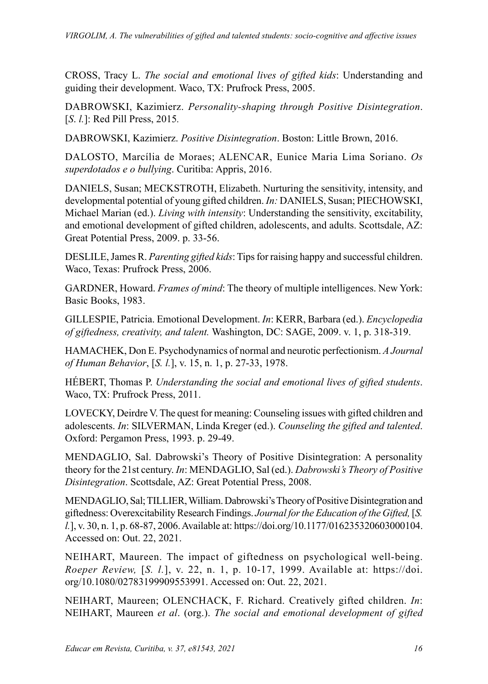CROSS, Tracy L. *The social and emotional lives of gifted kids*: Understanding and guiding their development. Waco, TX: Prufrock Press, 2005.

DABROWSKI, Kazimierz. *Personality-shaping through Positive Disintegration*. [*S*. *l.*]: Red Pill Press, 2015*.*

DABROWSKI, Kazimierz. *Positive Disintegration*. Boston: Little Brown, 2016.

DALOSTO, Marcília de Moraes; ALENCAR, Eunice Maria Lima Soriano. *Os superdotados e o bullying*. Curitiba: Appris, 2016.

DANIELS, Susan; MECKSTROTH, Elizabeth. Nurturing the sensitivity, intensity, and developmental potential of young gifted children. *In:* DANIELS, Susan; PIECHOWSKI, Michael Marian (ed.). *Living with intensity*: Understanding the sensitivity, excitability, and emotional development of gifted children, adolescents, and adults. Scottsdale, AZ: Great Potential Press, 2009. p. 33-56.

DESLILE, James R. *Parenting gifted kids*: Tips for raising happy and successful children. Waco, Texas: Prufrock Press, 2006.

GARDNER, Howard. *Frames of mind*: The theory of multiple intelligences. New York: Basic Books, 1983.

GILLESPIE, Patricia. Emotional Development. *In*: KERR, Barbara (ed.). *Encyclopedia of giftedness, creativity, and talent.* Washington, DC: SAGE, 2009. v. 1, p. 318-319.

HAMACHEK, Don E. Psychodynamics of normal and neurotic perfectionism. *A Journal of Human Behavior*, [*S. l.*], v. 15, n. 1, p. 27-33, 1978.

HÉBERT, Thomas P. *Understanding the social and emotional lives of gifted students*. Waco, TX: Prufrock Press, 2011.

LOVECKY, Deirdre V. The quest for meaning: Counseling issues with gifted children and adolescents. *In*: SILVERMAN, Linda Kreger (ed.). *Counseling the gifted and talented*. Oxford: Pergamon Press, 1993. p. 29-49.

MENDAGLIO, Sal. Dabrowski's Theory of Positive Disintegration: A personality theory for the 21st century. *In*: MENDAGLIO, Sal (ed.). *Dabrowski's Theory of Positive Disintegration*. Scottsdale, AZ: Great Potential Press, 2008.

MENDAGLIO, Sal; TILLIER, William. Dabrowski's Theory of Positive Disintegration and giftedness: Overexcitability Research Findings. *Journal for the Education of the Gifted,* [*S. l.*], v. 30, n. 1, p. 68-87, 2006. Available at: https://doi.org/10.1177/016235320603000104. Accessed on: Out. 22, 2021.

NEIHART, Maureen. The impact of giftedness on psychological well-being. *Roeper Review,* [*S. l.*], v. 22, n. 1, p. 10-17, 1999. Available at: https://doi. org/10.1080/02783199909553991. Accessed on: Out. 22, 2021.

NEIHART, Maureen; OLENCHACK, F. Richard. Creatively gifted children. *In*: NEIHART, Maureen *et al*. (org.). *The social and emotional development of gifted*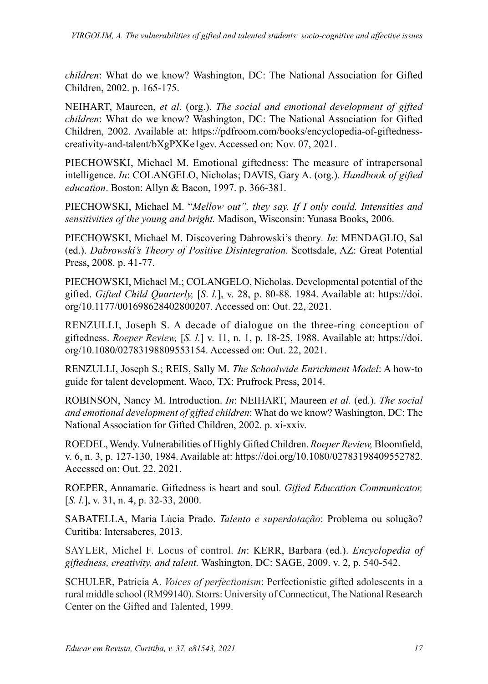*children*: What do we know? Washington, DC: The National Association for Gifted Children, 2002. p. 165-175.

NEIHART, Maureen, *et al.* (org.). *The social and emotional development of gifted children*: What do we know? Washington, DC: The National Association for Gifted Children, 2002. Available at: https://pdfroom.com/books/encyclopedia-of-giftednesscreativity-and-talent/bXgPXKe1gev. Accessed on: Nov. 07, 2021.

PIECHOWSKI, Michael M. Emotional giftedness: The measure of intrapersonal intelligence. *In*: COLANGELO, Nicholas; DAVIS, Gary A. (org.). *Handbook of gifted education*. Boston: Allyn & Bacon, 1997. p. 366-381.

PIECHOWSKI, Michael M. "*Mellow out", they say. If I only could. Intensities and sensitivities of the young and bright.* Madison, Wisconsin: Yunasa Books, 2006.

PIECHOWSKI, Michael M. Discovering Dabrowski's theory*. In*: MENDAGLIO, Sal (ed.). *Dabrowski's Theory of Positive Disintegration.* Scottsdale, AZ: Great Potential Press, 2008. p. 41-77.

PIECHOWSKI, Michael M.; COLANGELO, Nicholas. Developmental potential of the gifted. *Gifted Child Quarterly,* [*S*. *l.*], v. 28, p. 80-88. 1984. Available at: https://doi. org/10.1177/001698628402800207. Accessed on: Out. 22, 2021.

RENZULLI, Joseph S. A decade of dialogue on the three-ring conception of giftedness. *Roeper Review,* [*S. l.*] v. 11, n. 1, p. 18-25, 1988. Available at: https://doi. org/10.1080/02783198809553154. Accessed on: Out. 22, 2021.

RENZULLI, Joseph S.; REIS, Sally M. *The Schoolwide Enrichment Model*: A how-to guide for talent development. Waco, TX: Prufrock Press, 2014.

ROBINSON, Nancy M. Introduction. *In*: NEIHART, Maureen *et al.* (ed.). *The social and emotional development of gifted children*: What do we know? Washington, DC: The National Association for Gifted Children, 2002. p. xi-xxiv.

ROEDEL, Wendy. Vulnerabilities of Highly Gifted Children. *Roeper Review,* Bloomfield, v. 6, n. 3, p. 127-130, 1984. Available at: https://doi.org/10.1080/02783198409552782. Accessed on: Out. 22, 2021.

ROEPER, Annamarie. Giftedness is heart and soul. *Gifted Education Communicator,*  [*S. l.*], v. 31, n. 4, p. 32-33, 2000.

SABATELLA, Maria Lúcia Prado. *Talento e superdotação*: Problema ou solução? Curitiba: Intersaberes, 2013.

SAYLER, Michel F. Locus of control. *In*: KERR, Barbara (ed.). *Encyclopedia of giftedness, creativity, and talent.* Washington, DC: SAGE, 2009. v. 2, p. 540-542.

SCHULER, Patricia A. *Voices of perfectionism*: Perfectionistic gifted adolescents in a rural middle school (RM99140). Storrs: University of Connecticut, The National Research Center on the Gifted and Talented, 1999.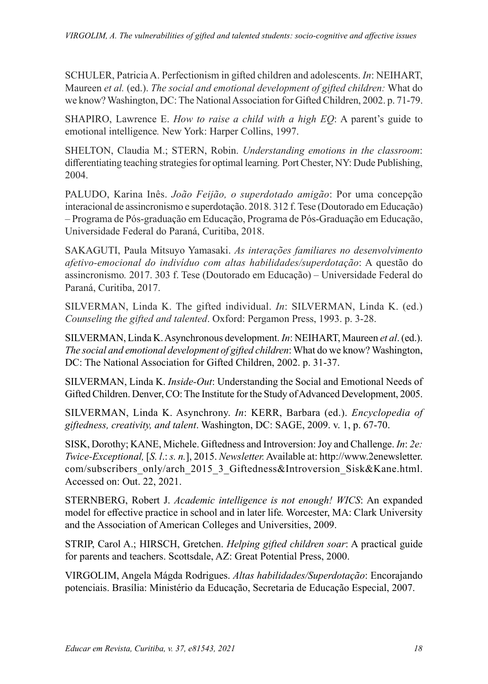SCHULER, Patricia A. Perfectionism in gifted children and adolescents. *In*: NEIHART, Maureen *et al.* (ed.). *The social and emotional development of gifted children:* What do we know? Washington, DC: The National Association for Gifted Children, 2002. p. 71-79.

SHAPIRO, Lawrence E. *How to raise a child with a high EQ*: A parent's guide to emotional intelligence*.* New York: Harper Collins, 1997.

SHELTON, Claudia M.; STERN, Robin. *Understanding emotions in the classroom*: differentiating teaching strategies for optimal learning*.* Port Chester, NY: Dude Publishing, 2004.

PALUDO, Karina Inês. *João Feijão, o superdotado amigão*: Por uma concepção interacional de assincronismo e superdotação. 2018. 312 f. Tese (Doutorado em Educação) – Programa de Pós-graduação em Educação, Programa de Pós-Graduação em Educação, Universidade Federal do Paraná, Curitiba, 2018.

SAKAGUTI, Paula Mitsuyo Yamasaki. *As interações familiares no desenvolvimento afetivo-emocional do indivíduo com altas habilidades/superdotação*: A questão do assincronismo*.* 2017. 303 f. Tese (Doutorado em Educação) – Universidade Federal do Paraná, Curitiba, 2017.

SILVERMAN, Linda K. The gifted individual. *In*: SILVERMAN, Linda K. (ed.) *Counseling the gifted and talented*. Oxford: Pergamon Press, 1993. p. 3-28.

SILVERMAN, Linda K. Asynchronous development. *In*: NEIHART, Maureen *et al*. (ed.). *The social and emotional development of gifted children*: What do we know? Washington, DC: The National Association for Gifted Children, 2002. p. 31-37.

SILVERMAN, Linda K. *Inside-Out*: Understanding the Social and Emotional Needs of Gifted Children. Denver, CO: The Institute for the Study of Advanced Development, 2005.

SILVERMAN, Linda K. Asynchrony. *In*: KERR, Barbara (ed.). *Encyclopedia of giftedness, creativity, and talent*. Washington, DC: SAGE, 2009. v. 1, p. 67-70.

SISK, Dorothy; KANE, Michele. Giftedness and Introversion: Joy and Challenge. *In*: *2e: Twice-Exceptional,* [*S. l*.: *s. n.*], 2015. *Newsletter.* Available at: http://www.2enewsletter. com/subscribers\_only/arch\_2015\_3\_Giftedness&Introversion\_Sisk&Kane.html. Accessed on: Out. 22, 2021.

STERNBERG, Robert J. *Academic intelligence is not enough! WICS*: An expanded model for effective practice in school and in later life*.* Worcester, MA: Clark University and the Association of American Colleges and Universities, 2009.

STRIP, Carol A.; HIRSCH, Gretchen. *Helping gifted children soar*: A practical guide for parents and teachers. Scottsdale, AZ: Great Potential Press, 2000.

VIRGOLIM, Angela Mágda Rodrigues. *Altas habilidades/Superdotação*: Encorajando potenciais. Brasília: Ministério da Educação, Secretaria de Educação Especial, 2007.